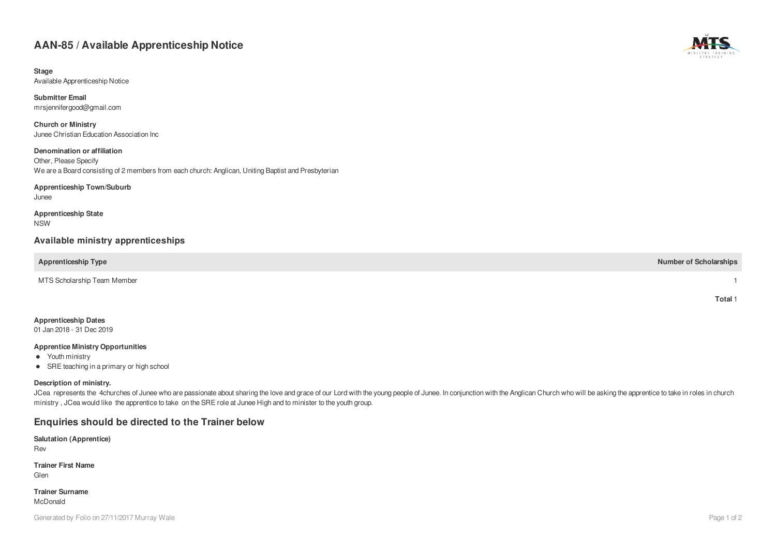# **AAN-85 / Available Apprenticeship Notice**

**Stage** Available Apprenticeship Notice

**Submitter Email** mrsjennifergood@gmail.com

**Church or Ministry** Junee Christian Education Association Inc

**Denomination or affiliation** Other, Please Specify We are a Board consisting of 2 members from each church: Anglican, Uniting Baptist and Presbyterian

#### **Apprenticeship Town/Suburb**

Junee

**Apprenticeship State** NSW

### **Available ministry apprenticeships**

**Apprenticeship Type Number of Scholarships**

MTS Scholarship Team Member 1

01 Jan 2018 - 31 Dec 2019

#### **Apprentice Ministry Opportunities**

- Youth ministry
- SRE teaching in a primary or high school

#### **Description of ministry.**

JCea represents the 4churches of Junee who are passionate about sharing the love and grace of our Lord with the young people of Junee. In conjunction with the Anglican Church who will be asking the apprentice to take in ro ministry , JCea would like the apprentice to take on the SRE role at Junee High and to minister to the youth group.

## **Enquiries should be directed to the Trainer below**

**Salutation (Apprentice)**

Rev

**Trainer First Name** Glen

**Trainer Surname** McDonald



**Total** 1